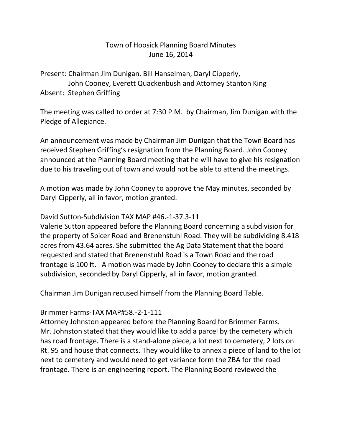### Town of Hoosick Planning Board Minutes June 16, 2014

Present: Chairman Jim Dunigan, Bill Hanselman, Daryl Cipperly, John Cooney, Everett Quackenbush and Attorney Stanton King Absent: Stephen Griffing

The meeting was called to order at 7:30 P.M. by Chairman, Jim Dunigan with the Pledge of Allegiance.

An announcement was made by Chairman Jim Dunigan that the Town Board has received Stephen Griffing's resignation from the Planning Board. John Cooney announced at the Planning Board meeting that he will have to give his resignation due to his traveling out of town and would not be able to attend the meetings.

A motion was made by John Cooney to approve the May minutes, seconded by Daryl Cipperly, all in favor, motion granted.

#### David Sutton-Subdivision TAX MAP #46.-1-37.3-11

Valerie Sutton appeared before the Planning Board concerning a subdivision for the property of Spicer Road and Brenenstuhl Road. They will be subdividing 8.418 acres from 43.64 acres. She submitted the Ag Data Statement that the board requested and stated that Brenenstuhl Road is a Town Road and the road frontage is 100 ft. A motion was made by John Cooney to declare this a simple subdivision, seconded by Daryl Cipperly, all in favor, motion granted.

Chairman Jim Dunigan recused himself from the Planning Board Table.

#### Brimmer Farms-TAX MAP#58.-2-1-111

Attorney Johnston appeared before the Planning Board for Brimmer Farms. Mr. Johnston stated that they would like to add a parcel by the cemetery which has road frontage. There is a stand-alone piece, a lot next to cemetery, 2 lots on Rt. 95 and house that connects. They would like to annex a piece of land to the lot next to cemetery and would need to get variance form the ZBA for the road frontage. There is an engineering report. The Planning Board reviewed the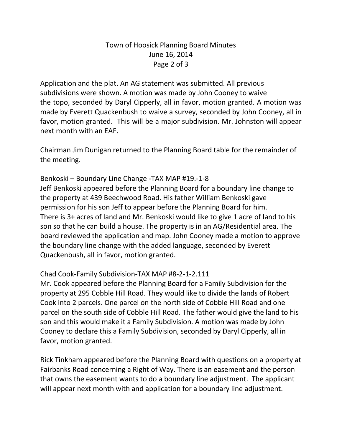## Town of Hoosick Planning Board Minutes June 16, 2014 Page 2 of 3

Application and the plat. An AG statement was submitted. All previous subdivisions were shown. A motion was made by John Cooney to waive the topo, seconded by Daryl Cipperly, all in favor, motion granted. A motion was made by Everett Quackenbush to waive a survey, seconded by John Cooney, all in favor, motion granted. This will be a major subdivision. Mr. Johnston will appear next month with an EAF.

Chairman Jim Dunigan returned to the Planning Board table for the remainder of the meeting.

Benkoski – Boundary Line Change -TAX MAP #19.-1-8 Jeff Benkoski appeared before the Planning Board for a boundary line change to the property at 439 Beechwood Road. His father William Benkoski gave permission for his son Jeff to appear before the Planning Board for him. There is 3+ acres of land and Mr. Benkoski would like to give 1 acre of land to his son so that he can build a house. The property is in an AG/Residential area. The board reviewed the application and map. John Cooney made a motion to approve the boundary line change with the added language, seconded by Everett Quackenbush, all in favor, motion granted.

### Chad Cook-Family Subdivision-TAX MAP #8-2-1-2.111

Mr. Cook appeared before the Planning Board for a Family Subdivision for the property at 295 Cobble Hill Road. They would like to divide the lands of Robert Cook into 2 parcels. One parcel on the north side of Cobble Hill Road and one parcel on the south side of Cobble Hill Road. The father would give the land to his son and this would make it a Family Subdivision. A motion was made by John Cooney to declare this a Family Subdivision, seconded by Daryl Cipperly, all in favor, motion granted.

Rick Tinkham appeared before the Planning Board with questions on a property at Fairbanks Road concerning a Right of Way. There is an easement and the person that owns the easement wants to do a boundary line adjustment. The applicant will appear next month with and application for a boundary line adjustment.